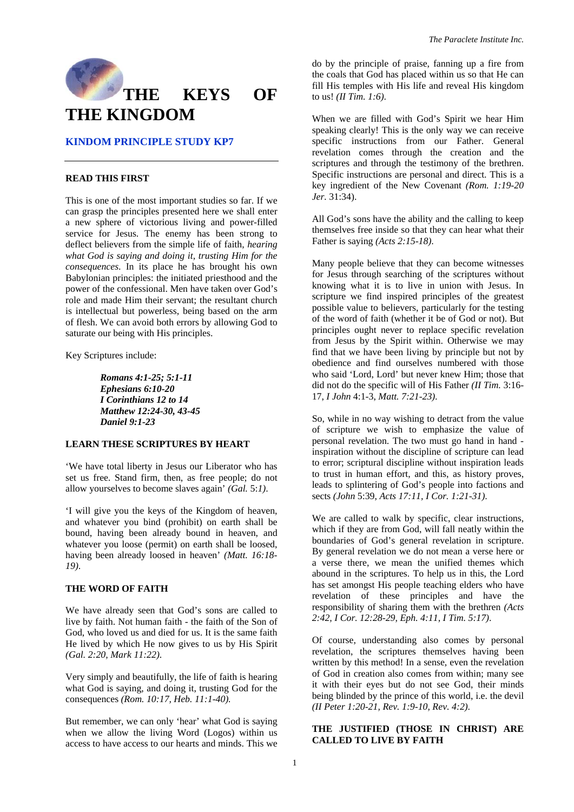

# **KINDOM PRINCIPLE STUDY KP7**

### **READ THIS FIRST**

This is one of the most important studies so far. If we can grasp the principles presented here we shall enter a new sphere of victorious living and power-filled service for Jesus. The enemy has been strong to deflect believers from the simple life of faith, *hearing what God is saying and doing it, trusting Him for the consequences*. In its place he has brought his own Babylonian principles: the initiated priesthood and the power of the confessional. Men have taken over God's role and made Him their servant; the resultant church is intellectual but powerless, being based on the arm of flesh. We can avoid both errors by allowing God to saturate our being with His principles.

Key Scriptures include:

*Romans 4:1-25; 5:1-11 Ephesians 6:10-20 I Corinthians 12 to 14 Matthew 12:24-30, 43-45 Daniel 9:1-23* 

### **LEARN THESE SCRIPTURES BY HEART**

'We have total liberty in Jesus our Liberator who has set us free. Stand firm, then, as free people; do not allow yourselves to become slaves again' *(Gal.* 5:*1)*.

'I will give you the keys of the Kingdom of heaven, and whatever you bind (prohibit) on earth shall be bound, having been already bound in heaven, and whatever you loose (permit) on earth shall be loosed, having been already loosed in heaven' *(Matt. 16:18- 19)*.

### **THE WORD OF FAITH**

We have already seen that God's sons are called to live by faith. Not human faith - the faith of the Son of God, who loved us and died for us. It is the same faith He lived by which He now gives to us by His Spirit *(Gal. 2:20, Mark 11:22)*.

Very simply and beautifully, the life of faith is hearing what God is saying, and doing it, trusting God for the consequences *(Rom. 10:17, Heb. 11:1-40).* 

But remember, we can only 'hear' what God is saying when we allow the living Word (Logos) within us access to have access to our hearts and minds. This we

do by the principle of praise, fanning up a fire from the coals that God has placed within us so that He can fill His temples with His life and reveal His kingdom to us! *(II Tim. 1:6)*.

When we are filled with God's Spirit we hear Him speaking clearly! This is the only way we can receive specific instructions from our Father. General revelation comes through the creation and the scriptures and through the testimony of the brethren. Specific instructions are personal and direct. This is a key ingredient of the New Covenant *(Rom. 1:19-20 Jer.* 31:34).

All God's sons have the ability and the calling to keep themselves free inside so that they can hear what their Father is saying *(Acts 2:15-18)*.

Many people believe that they can become witnesses for Jesus through searching of the scriptures without knowing what it is to live in union with Jesus. In scripture we find inspired principles of the greatest possible value to believers, particularly for the testing of the word of faith (whether it be of God or not). But principles ought never to replace specific revelation from Jesus by the Spirit within. Otherwise we may find that we have been living by principle but not by obedience and find ourselves numbered with those who said 'Lord, Lord' but never knew Him; those that did not do the specific will of His Father *(II Tim.* 3:16- 17, *I John* 4:1-3, *Matt. 7:21-23)*.

So, while in no way wishing to detract from the value of scripture we wish to emphasize the value of personal revelation. The two must go hand in hand inspiration without the discipline of scripture can lead to error; scriptural discipline without inspiration leads to trust in human effort, and this, as history proves, leads to splintering of God's people into factions and sects *(John* 5:39, *Acts 17:11, I Cor. 1:21-31)*.

We are called to walk by specific, clear instructions, which if they are from God, will fall neatly within the boundaries of God's general revelation in scripture. By general revelation we do not mean a verse here or a verse there, we mean the unified themes which abound in the scriptures. To help us in this, the Lord has set amongst His people teaching elders who have revelation of these principles and have the responsibility of sharing them with the brethren *(Acts 2:42, I Cor. 12:28-29, Eph. 4:11, I Tim. 5:17)*.

Of course, understanding also comes by personal revelation, the scriptures themselves having been written by this method! In a sense, even the revelation of God in creation also comes from within; many see it with their eyes but do not see God, their minds being blinded by the prince of this world, i.e. the devil *(II Peter 1:20-21, Rev. 1:9-10, Rev. 4:2)*.

### **THE JUSTIFIED (THOSE IN CHRIST) ARE CALLED TO LIVE BY FAITH**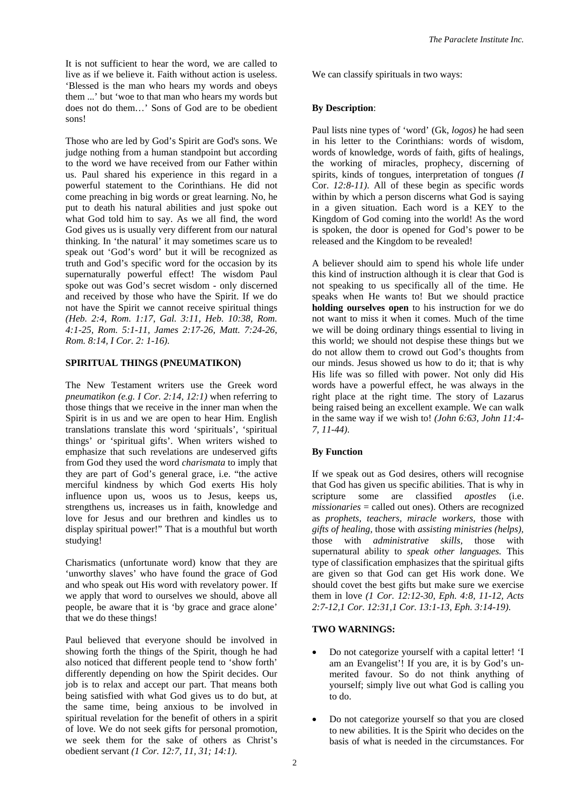It is not sufficient to hear the word, we are called to live as if we believe it. Faith without action is useless. 'Blessed is the man who hears my words and obeys them ...' but 'woe to that man who hears my words but does not do them…' Sons of God are to be obedient sons!

Those who are led by God's Spirit are God's sons. We judge nothing from a human standpoint but according to the word we have received from our Father within us. Paul shared his experience in this regard in a powerful statement to the Corinthians. He did not come preaching in big words or great learning. No, he put to death his natural abilities and just spoke out what God told him to say. As we all find, the word God gives us is usually very different from our natural thinking. In 'the natural' it may sometimes scare us to speak out 'God's word' but it will be recognized as truth and God's specific word for the occasion by its supernaturally powerful effect! The wisdom Paul spoke out was God's secret wisdom - only discerned and received by those who have the Spirit. If we do not have the Spirit we cannot receive spiritual things *(Heb. 2:4, Rom. 1:17, Gal. 3:11, Heb. 10:38, Rom. 4:1-25, Rom. 5:1-11, James 2:17-26, Matt. 7:24-26, Rom. 8:14, I Cor. 2: 1-16)*.

## **SPIRITUAL THINGS (PNEUMATIKON)**

The New Testament writers use the Greek word *pneumatikon (e.g. I Cor. 2:14, 12:1)* when referring to those things that we receive in the inner man when the Spirit is in us and we are open to hear Him. English translations translate this word 'spirituals', 'spiritual things' or 'spiritual gifts'. When writers wished to emphasize that such revelations are undeserved gifts from God they used the word *charismata* to imply that they are part of God's general grace, i.e. "the active merciful kindness by which God exerts His holy influence upon us, woos us to Jesus, keeps us, strengthens us, increases us in faith, knowledge and love for Jesus and our brethren and kindles us to display spiritual power!" That is a mouthful but worth studying!

Charismatics (unfortunate word) know that they are 'unworthy slaves' who have found the grace of God and who speak out His word with revelatory power. If we apply that word to ourselves we should, above all people, be aware that it is 'by grace and grace alone' that we do these things!

Paul believed that everyone should be involved in showing forth the things of the Spirit, though he had also noticed that different people tend to 'show forth' differently depending on how the Spirit decides. Our job is to relax and accept our part. That means both being satisfied with what God gives us to do but, at the same time, being anxious to be involved in spiritual revelation for the benefit of others in a spirit of love. We do not seek gifts for personal promotion, we seek them for the sake of others as Christ's obedient servant *(1 Cor. 12:7, 11, 31; 14:1)*.

We can classify spirituals in two ways:

#### **By Description**:

Paul lists nine types of 'word' (Gk, *logos)* he had seen in his letter to the Corinthians: words of wisdom, words of knowledge, words of faith, gifts of healings, the working of miracles, prophecy, discerning of spirits, kinds of tongues, interpretation of tongues *(I*  Cor. *12:8-11)*. All of these begin as specific words within by which a person discerns what God is saying in a given situation. Each word is a KEY to the Kingdom of God coming into the world! As the word is spoken, the door is opened for God's power to be released and the Kingdom to be revealed!

A believer should aim to spend his whole life under this kind of instruction although it is clear that God is not speaking to us specifically all of the time. He speaks when He wants to! But we should practice **holding ourselves open** to his instruction for we do not want to miss it when it comes. Much of the time we will be doing ordinary things essential to living in this world; we should not despise these things but we do not allow them to crowd out God's thoughts from our minds. Jesus showed us how to do it; that is why His life was so filled with power. Not only did His words have a powerful effect, he was always in the right place at the right time. The story of Lazarus being raised being an excellent example. We can walk in the same way if we wish to! *(John 6:63, John 11:4- 7, 11-44)*.

#### **By Function**

If we speak out as God desires, others will recognise that God has given us specific abilities. That is why in scripture some are classified *apostles* (i.e. *missionaries* = called out ones). Others are recognized as *prophets, teachers, miracle workers,* those with *gifts of healing,* those with *assisting ministries (helps),*  those with *administrative skills,* those with supernatural ability to *speak other languages.* This type of classification emphasizes that the spiritual gifts are given so that God can get His work done. We should covet the best gifts but make sure we exercise them in love *(1 Cor. 12:12-30, Eph. 4:8, 11-12, Acts 2:7-12,1 Cor. 12:31,1 Cor. 13:1-13, Eph. 3:14-19)*.

### **TWO WARNINGS:**

- Do not categorize yourself with a capital letter! 'I am an Evangelist'! If you are, it is by God's unmerited favour. So do not think anything of yourself; simply live out what God is calling you to do.
- Do not categorize yourself so that you are closed to new abilities. It is the Spirit who decides on the basis of what is needed in the circumstances. For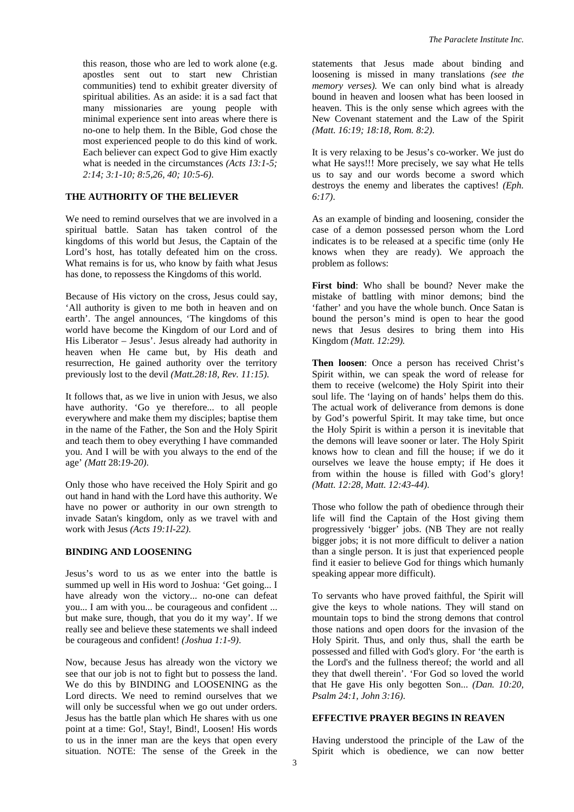this reason, those who are led to work alone (e.g. apostles sent out to start new Christian communities) tend to exhibit greater diversity of spiritual abilities. As an aside: it is a sad fact that many missionaries are young people with minimal experience sent into areas where there is no-one to help them. In the Bible, God chose the most experienced people to do this kind of work. Each believer can expect God to give Him exactly what is needed in the circumstances *(Acts 13:1-5; 2:14; 3:1-10; 8:5,26, 40; 10:5-6)*.

## **THE AUTHORITY OF THE BELIEVER**

We need to remind ourselves that we are involved in a spiritual battle. Satan has taken control of the kingdoms of this world but Jesus, the Captain of the Lord's host, has totally defeated him on the cross. What remains is for us, who know by faith what Jesus has done, to repossess the Kingdoms of this world.

Because of His victory on the cross, Jesus could say, 'All authority is given to me both in heaven and on earth'. The angel announces, 'The kingdoms of this world have become the Kingdom of our Lord and of His Liberator – Jesus'. Jesus already had authority in heaven when He came but, by His death and resurrection, He gained authority over the territory previously lost to the devil *(Matt.28:18, Rev. 11:15)*.

It follows that, as we live in union with Jesus, we also have authority. 'Go ye therefore... to all people everywhere and make them my disciples; baptise them in the name of the Father, the Son and the Holy Spirit and teach them to obey everything I have commanded you. And I will be with you always to the end of the age' *(Matt* 28:*19-20)*.

Only those who have received the Holy Spirit and go out hand in hand with the Lord have this authority. We have no power or authority in our own strength to invade Satan's kingdom, only as we travel with and work with Jesus *(Acts 19:1l-22)*.

## **BINDING AND LOOSENING**

Jesus's word to us as we enter into the battle is summed up well in His word to Joshua: 'Get going... I have already won the victory... no-one can defeat you... I am with you... be courageous and confident ... but make sure, though, that you do it my way'. If we really see and believe these statements we shall indeed be courageous and confident! *(Joshua 1:1-9)*.

Now, because Jesus has already won the victory we see that our job is not to fight but to possess the land. We do this by BINDING and LOOSENING as the Lord directs. We need to remind ourselves that we will only be successful when we go out under orders. Jesus has the battle plan which He shares with us one point at a time: Go!, Stay!, Bind!, Loosen! His words to us in the inner man are the keys that open every situation. NOTE: The sense of the Greek in the

statements that Jesus made about binding and loosening is missed in many translations *(see the memory verses).* We can only bind what is already bound in heaven and loosen what has been loosed in heaven. This is the only sense which agrees with the New Covenant statement and the Law of the Spirit *(Matt. 16:19; 18:18, Rom. 8:2)*.

It is very relaxing to be Jesus's co-worker. We just do what He says!!! More precisely, we say what He tells us to say and our words become a sword which destroys the enemy and liberates the captives! *(Eph. 6:17)*.

As an example of binding and loosening, consider the case of a demon possessed person whom the Lord indicates is to be released at a specific time (only He knows when they are ready). We approach the problem as follows:

**First bind**: Who shall be bound? Never make the mistake of battling with minor demons; bind the 'father' and you have the whole bunch. Once Satan is bound the person's mind is open to hear the good news that Jesus desires to bring them into His Kingdom *(Matt. 12:29).* 

**Then loosen**: Once a person has received Christ's Spirit within, we can speak the word of release for them to receive (welcome) the Holy Spirit into their soul life. The 'laying on of hands' helps them do this. The actual work of deliverance from demons is done by God's powerful Spirit. It may take time, but once the Holy Spirit is within a person it is inevitable that the demons will leave sooner or later. The Holy Spirit knows how to clean and fill the house; if we do it ourselves we leave the house empty; if He does it from within the house is filled with God's glory! *(Matt. 12:28, Matt. 12:43-44)*.

Those who follow the path of obedience through their life will find the Captain of the Host giving them progressively 'bigger' jobs. (NB They are not really bigger jobs; it is not more difficult to deliver a nation than a single person. It is just that experienced people find it easier to believe God for things which humanly speaking appear more difficult).

To servants who have proved faithful, the Spirit will give the keys to whole nations. They will stand on mountain tops to bind the strong demons that control those nations and open doors for the invasion of the Holy Spirit. Thus, and only thus, shall the earth be possessed and filled with God's glory. For 'the earth is the Lord's and the fullness thereof; the world and all they that dwell therein'. 'For God so loved the world that He gave His only begotten Son... *(Dan. 10:20, Psalm 24:1, John 3:16)*.

### **EFFECTIVE PRAYER BEGINS IN REAVEN**

Having understood the principle of the Law of the Spirit which is obedience, we can now better